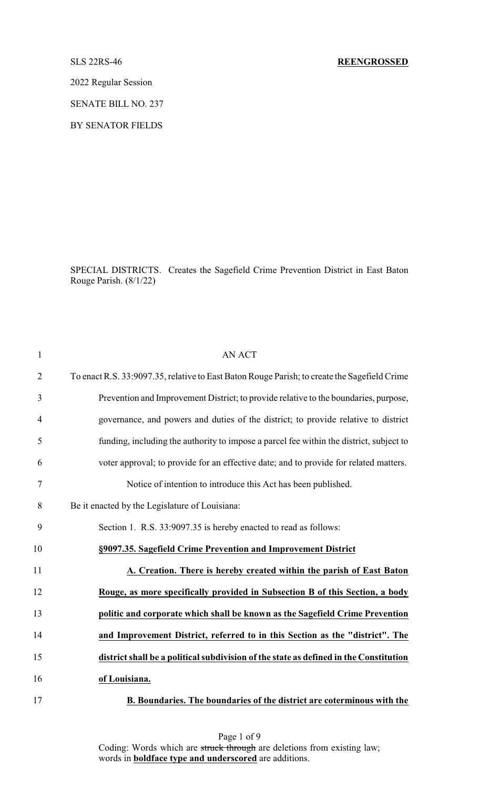## SLS 22RS-46 **REENGROSSED**

2022 Regular Session

SENATE BILL NO. 237

BY SENATOR FIELDS

SPECIAL DISTRICTS. Creates the Sagefield Crime Prevention District in East Baton Rouge Parish. (8/1/22)

| $\mathbf{1}$   | AN ACT                                                                                       |
|----------------|----------------------------------------------------------------------------------------------|
| $\overline{2}$ | To enact R.S. 33:9097.35, relative to East Baton Rouge Parish; to create the Sagefield Crime |
| 3              | Prevention and Improvement District; to provide relative to the boundaries, purpose,         |
| $\overline{4}$ | governance, and powers and duties of the district; to provide relative to district           |
| 5              | funding, including the authority to impose a parcel fee within the district, subject to      |
| 6              | voter approval; to provide for an effective date; and to provide for related matters.        |
| $\tau$         | Notice of intention to introduce this Act has been published.                                |
| 8              | Be it enacted by the Legislature of Louisiana:                                               |
| 9              | Section 1. R.S. 33:9097.35 is hereby enacted to read as follows:                             |
| 10             | §9097.35. Sagefield Crime Prevention and Improvement District                                |
| 11             | A. Creation. There is hereby created within the parish of East Baton                         |
| 12             | Rouge, as more specifically provided in Subsection B of this Section, a body                 |
| 13             | politic and corporate which shall be known as the Sagefield Crime Prevention                 |
| 14             | and Improvement District, referred to in this Section as the "district". The                 |
| 15             | district shall be a political subdivision of the state as defined in the Constitution        |
| 16             | of Louisiana.                                                                                |
| 17             | B. Boundaries. The boundaries of the district are coterminous with the                       |

Page 1 of 9 Coding: Words which are struck through are deletions from existing law; words in **boldface type and underscored** are additions.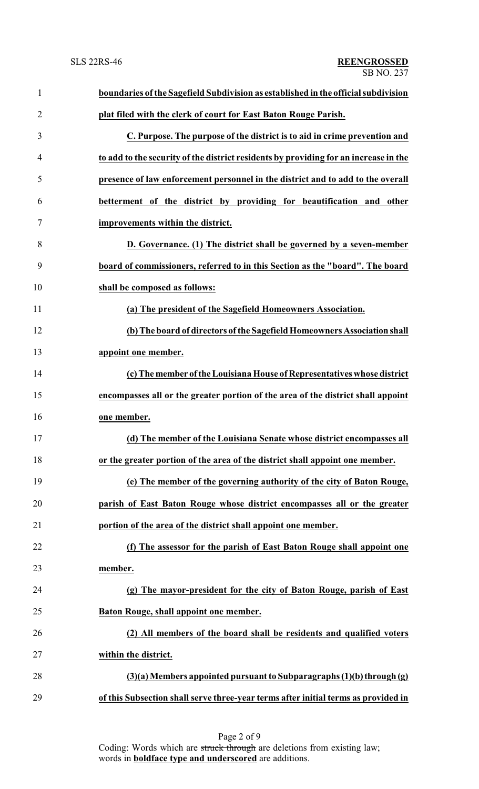| $\mathbf{1}$   | boundaries of the Sagefield Subdivision as established in the official subdivision   |
|----------------|--------------------------------------------------------------------------------------|
| $\overline{2}$ | plat filed with the clerk of court for East Baton Rouge Parish.                      |
| 3              | C. Purpose. The purpose of the district is to aid in crime prevention and            |
| $\overline{4}$ | to add to the security of the district residents by providing for an increase in the |
| 5              | presence of law enforcement personnel in the district and to add to the overall      |
| 6              | betterment of the district by providing for beautification and other                 |
| $\tau$         | improvements within the district.                                                    |
| 8              | D. Governance. (1) The district shall be governed by a seven-member                  |
| 9              | board of commissioners, referred to in this Section as the "board". The board        |
| 10             | shall be composed as follows:                                                        |
| 11             | (a) The president of the Sagefield Homeowners Association.                           |
| 12             | (b) The board of directors of the Sagefield Homeowners Association shall             |
| 13             | appoint one member.                                                                  |
| 14             | (c) The member of the Louisiana House of Representatives whose district              |
| 15             | encompasses all or the greater portion of the area of the district shall appoint     |
| 16             | one member.                                                                          |
| 17             | (d) The member of the Louisiana Senate whose district encompasses all                |
| 18             | or the greater portion of the area of the district shall appoint one member.         |
| 19             | (e) The member of the governing authority of the city of Baton Rouge,                |
| 20             | parish of East Baton Rouge whose district encompasses all or the greater             |
| 21             | portion of the area of the district shall appoint one member.                        |
| 22             | The assessor for the parish of East Baton Rouge shall appoint one                    |
| 23             | member.                                                                              |
| 24             | (g) The mayor-president for the city of Baton Rouge, parish of East                  |
| 25             | <b>Baton Rouge, shall appoint one member.</b>                                        |
| 26             | (2) All members of the board shall be residents and qualified voters                 |
| 27             | within the district.                                                                 |
| 28             | $(3)(a)$ Members appointed pursuant to Subparagraphs $(1)(b)$ through $(g)$          |
| 29             | of this Subsection shall serve three-year terms after initial terms as provided in   |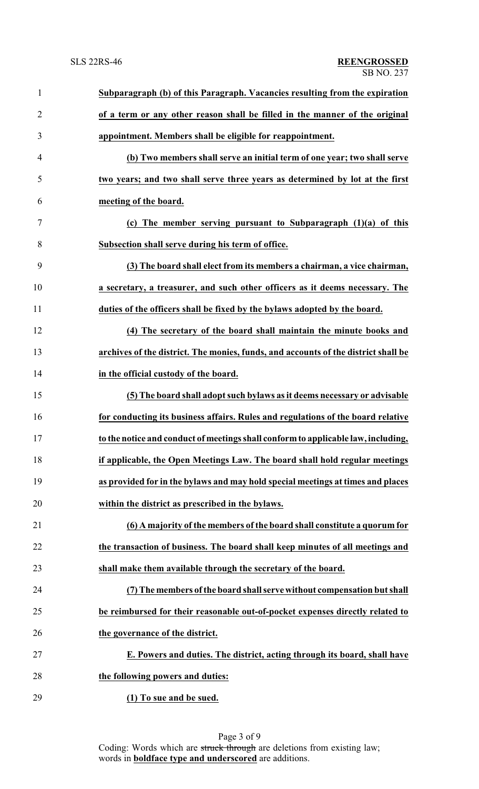| $\mathbf{1}$   | Subparagraph (b) of this Paragraph. Vacancies resulting from the expiration        |
|----------------|------------------------------------------------------------------------------------|
| $\overline{2}$ | of a term or any other reason shall be filled in the manner of the original        |
| 3              | appointment. Members shall be eligible for reappointment.                          |
| 4              | (b) Two members shall serve an initial term of one year; two shall serve           |
| 5              | two years; and two shall serve three years as determined by lot at the first       |
| 6              | meeting of the board.                                                              |
| 7              | (c) The member serving pursuant to Subparagraph $(1)(a)$ of this                   |
| 8              | Subsection shall serve during his term of office.                                  |
| 9              | (3) The board shall elect from its members a chairman, a vice chairman,            |
| 10             | a secretary, a treasurer, and such other officers as it deems necessary. The       |
| 11             | duties of the officers shall be fixed by the bylaws adopted by the board.          |
| 12             | (4) The secretary of the board shall maintain the minute books and                 |
| 13             | archives of the district. The monies, funds, and accounts of the district shall be |
| 14             | in the official custody of the board.                                              |
| 15             | (5) The board shall adopt such bylaws as it deems necessary or advisable           |
| 16             | for conducting its business affairs. Rules and regulations of the board relative   |
| 17             | to the notice and conduct of meetings shall conform to applicable law, including,  |
| 18             | if applicable, the Open Meetings Law. The board shall hold regular meetings        |
| 19             | as provided for in the bylaws and may hold special meetings at times and places    |
| 20             | within the district as prescribed in the bylaws.                                   |
| 21             | (6) A majority of the members of the board shall constitute a quorum for           |
| 22             | the transaction of business. The board shall keep minutes of all meetings and      |
| 23             | shall make them available through the secretary of the board.                      |
| 24             | (7) The members of the board shall serve without compensation but shall            |
| 25             | be reimbursed for their reasonable out-of-pocket expenses directly related to      |
| 26             | the governance of the district.                                                    |
| 27             | E. Powers and duties. The district, acting through its board, shall have           |
| 28             | the following powers and duties:                                                   |
| 29             | (1) To sue and be sued.                                                            |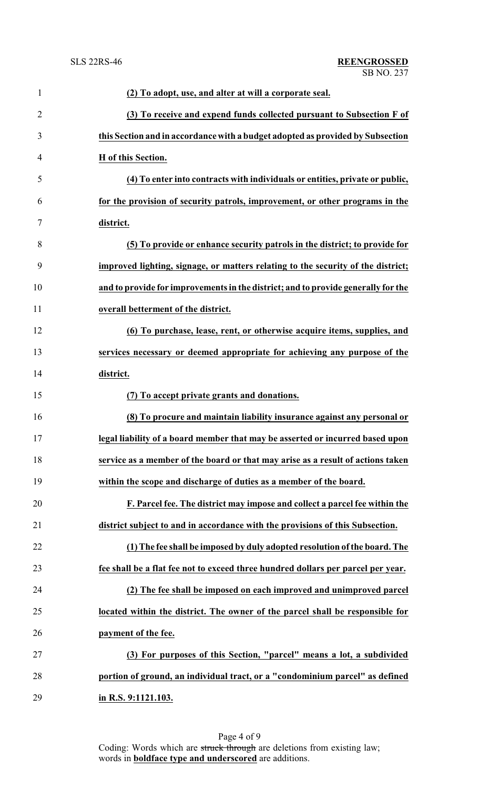| $\mathbf{1}$   | (2) To adopt, use, and alter at will a corporate seal.                            |
|----------------|-----------------------------------------------------------------------------------|
| $\overline{2}$ | (3) To receive and expend funds collected pursuant to Subsection F of             |
| 3              | this Section and in accordance with a budget adopted as provided by Subsection    |
| 4              | H of this Section.                                                                |
| 5              | (4) To enter into contracts with individuals or entities, private or public,      |
| 6              | for the provision of security patrols, improvement, or other programs in the      |
| 7              | district.                                                                         |
| 8              | (5) To provide or enhance security patrols in the district; to provide for        |
| 9              | improved lighting, signage, or matters relating to the security of the district;  |
| 10             | and to provide for improvements in the district; and to provide generally for the |
| 11             | overall betterment of the district.                                               |
| 12             | (6) To purchase, lease, rent, or otherwise acquire items, supplies, and           |
| 13             | services necessary or deemed appropriate for achieving any purpose of the         |
| 14             | district.                                                                         |
| 15             | (7) To accept private grants and donations.                                       |
| 16             | (8) To procure and maintain liability insurance against any personal or           |
| 17             | legal liability of a board member that may be asserted or incurred based upon     |
| 18             | service as a member of the board or that may arise as a result of actions taken   |
| 19             | within the scope and discharge of duties as a member of the board.                |
| 20             | F. Parcel fee. The district may impose and collect a parcel fee within the        |
| 21             | district subject to and in accordance with the provisions of this Subsection.     |
| 22             | (1) The fee shall be imposed by duly adopted resolution of the board. The         |
| 23             | fee shall be a flat fee not to exceed three hundred dollars per parcel per year.  |
| 24             | (2) The fee shall be imposed on each improved and unimproved parcel               |
| 25             | located within the district. The owner of the parcel shall be responsible for     |
| 26             | payment of the fee.                                                               |
| 27             | (3) For purposes of this Section, "parcel" means a lot, a subdivided              |
| 28             | portion of ground, an individual tract, or a "condominium parcel" as defined      |
| 29             | in R.S. 9:1121.103.                                                               |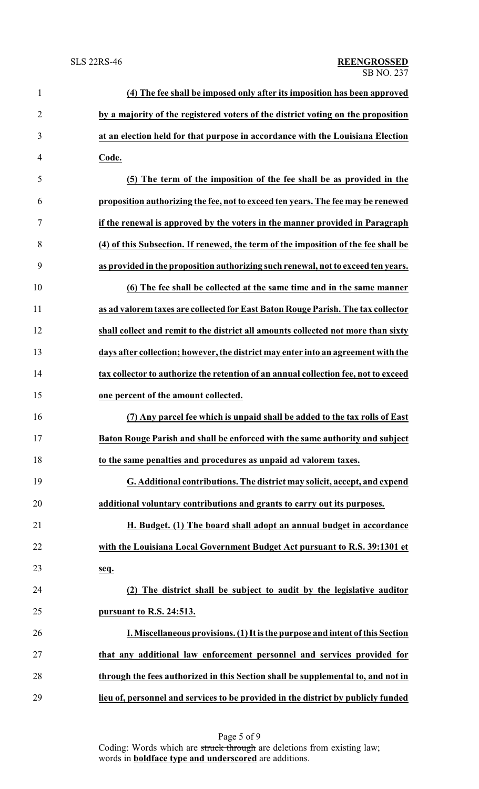| $\mathbf{1}$   | (4) The fee shall be imposed only after its imposition has been approved            |
|----------------|-------------------------------------------------------------------------------------|
| $\overline{2}$ | by a majority of the registered voters of the district voting on the proposition    |
| 3              | at an election held for that purpose in accordance with the Louisiana Election      |
| 4              | Code.                                                                               |
| 5              | (5) The term of the imposition of the fee shall be as provided in the               |
| 6              | proposition authorizing the fee, not to exceed ten years. The fee may be renewed    |
| 7              | if the renewal is approved by the voters in the manner provided in Paragraph        |
| 8              | (4) of this Subsection. If renewed, the term of the imposition of the fee shall be  |
| 9              | as provided in the proposition authorizing such renewal, not to exceed ten years.   |
| 10             | (6) The fee shall be collected at the same time and in the same manner              |
| 11             | as ad valorem taxes are collected for East Baton Rouge Parish. The tax collector    |
| 12             | shall collect and remit to the district all amounts collected not more than sixty   |
| 13             | days after collection; however, the district may enter into an agreement with the   |
| 14             | tax collector to authorize the retention of an annual collection fee, not to exceed |
| 15             | one percent of the amount collected.                                                |
| 16             | (7) Any parcel fee which is unpaid shall be added to the tax rolls of East          |
| 17             | Baton Rouge Parish and shall be enforced with the same authority and subject        |
| 18             | to the same penalties and procedures as unpaid ad valorem taxes.                    |
| 19             | G. Additional contributions. The district may solicit, accept, and expend           |
| 20             | additional voluntary contributions and grants to carry out its purposes.            |
| 21             | H. Budget. (1) The board shall adopt an annual budget in accordance                 |
| 22             | with the Louisiana Local Government Budget Act pursuant to R.S. 39:1301 et          |
| 23             | seq.                                                                                |
| 24             | (2) The district shall be subject to audit by the legislative auditor               |
| 25             | pursuant to R.S. 24:513.                                                            |
| 26             | I. Miscellaneous provisions. (1) It is the purpose and intent of this Section       |
| 27             | that any additional law enforcement personnel and services provided for             |
| 28             | through the fees authorized in this Section shall be supplemental to, and not in    |
| 29             | lieu of, personnel and services to be provided in the district by publicly funded   |

Page 5 of 9 Coding: Words which are struck through are deletions from existing law; words in **boldface type and underscored** are additions.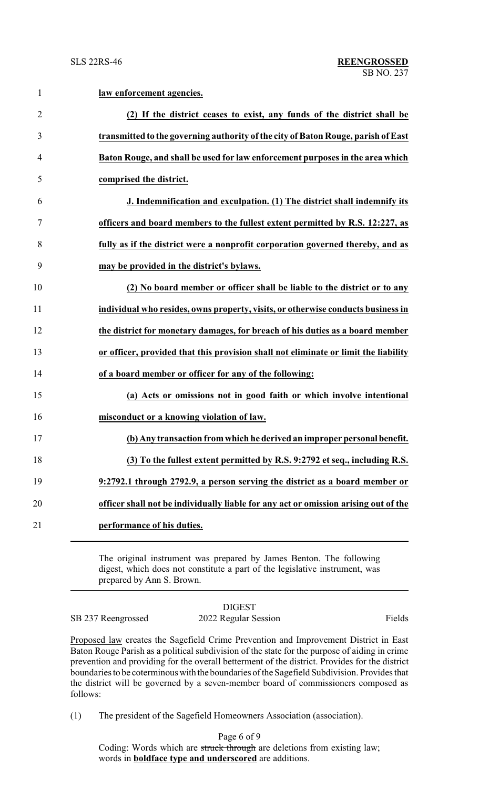| $\mathbf{1}$   | law enforcement agencies.                                                           |
|----------------|-------------------------------------------------------------------------------------|
| $\overline{2}$ | (2) If the district ceases to exist, any funds of the district shall be             |
| 3              | transmitted to the governing authority of the city of Baton Rouge, parish of East   |
| $\overline{4}$ | Baton Rouge, and shall be used for law enforcement purposes in the area which       |
| 5              | comprised the district.                                                             |
| 6              | J. Indemnification and exculpation. (1) The district shall indemnify its            |
| 7              | officers and board members to the fullest extent permitted by R.S. 12:227, as       |
| 8              | fully as if the district were a nonprofit corporation governed thereby, and as      |
| 9              | may be provided in the district's bylaws.                                           |
| 10             | (2) No board member or officer shall be liable to the district or to any            |
| 11             | individual who resides, owns property, visits, or otherwise conducts business in    |
| 12             | the district for monetary damages, for breach of his duties as a board member       |
| 13             | or officer, provided that this provision shall not eliminate or limit the liability |
| 14             | of a board member or officer for any of the following:                              |
| 15             | (a) Acts or omissions not in good faith or which involve intentional                |
| 16             | misconduct or a knowing violation of law.                                           |
| 17             | (b) Any transaction from which he derived an improper personal benefit.             |
| 18             | (3) To the fullest extent permitted by R.S. 9:2792 et seq., including R.S.          |
| 19             | 9:2792.1 through 2792.9, a person serving the district as a board member or         |
| 20             | officer shall not be individually liable for any act or omission arising out of the |
| 21             | performance of his duties.                                                          |
|                |                                                                                     |

The original instrument was prepared by James Benton. The following digest, which does not constitute a part of the legislative instrument, was prepared by Ann S. Brown.

DIGEST SB 237 Reengrossed 2022 Regular Session Fields

Proposed law creates the Sagefield Crime Prevention and Improvement District in East Baton Rouge Parish as a political subdivision of the state for the purpose of aiding in crime prevention and providing for the overall betterment of the district. Provides for the district boundaries to be coterminous with the boundaries of the Sagefield Subdivision. Provides that the district will be governed by a seven-member board of commissioners composed as follows:

(1) The president of the Sagefield Homeowners Association (association).

Page 6 of 9 Coding: Words which are struck through are deletions from existing law; words in **boldface type and underscored** are additions.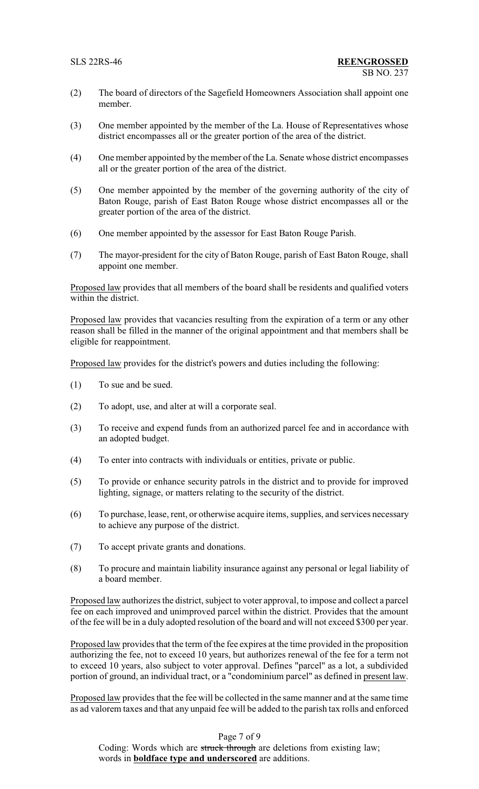- (2) The board of directors of the Sagefield Homeowners Association shall appoint one member.
- (3) One member appointed by the member of the La. House of Representatives whose district encompasses all or the greater portion of the area of the district.
- (4) One member appointed by the member of the La. Senate whose district encompasses all or the greater portion of the area of the district.
- (5) One member appointed by the member of the governing authority of the city of Baton Rouge, parish of East Baton Rouge whose district encompasses all or the greater portion of the area of the district.
- (6) One member appointed by the assessor for East Baton Rouge Parish.
- (7) The mayor-president for the city of Baton Rouge, parish of East Baton Rouge, shall appoint one member.

Proposed law provides that all members of the board shall be residents and qualified voters within the district.

Proposed law provides that vacancies resulting from the expiration of a term or any other reason shall be filled in the manner of the original appointment and that members shall be eligible for reappointment.

Proposed law provides for the district's powers and duties including the following:

- (1) To sue and be sued.
- (2) To adopt, use, and alter at will a corporate seal.
- (3) To receive and expend funds from an authorized parcel fee and in accordance with an adopted budget.
- (4) To enter into contracts with individuals or entities, private or public.
- (5) To provide or enhance security patrols in the district and to provide for improved lighting, signage, or matters relating to the security of the district.
- (6) To purchase, lease, rent, or otherwise acquire items, supplies, and services necessary to achieve any purpose of the district.
- (7) To accept private grants and donations.
- (8) To procure and maintain liability insurance against any personal or legal liability of a board member.

Proposed law authorizes the district, subject to voter approval, to impose and collect a parcel fee on each improved and unimproved parcel within the district. Provides that the amount of the fee will be in a duly adopted resolution of the board and will not exceed \$300 per year.

Proposed law provides that the term of the fee expires at the time provided in the proposition authorizing the fee, not to exceed 10 years, but authorizes renewal of the fee for a term not to exceed 10 years, also subject to voter approval. Defines "parcel" as a lot, a subdivided portion of ground, an individual tract, or a "condominium parcel" as defined in present law.

Proposed law provides that the fee will be collected in the same manner and at the same time as ad valorem taxes and that any unpaid fee will be added to the parish tax rolls and enforced

## Page 7 of 9

Coding: Words which are struck through are deletions from existing law; words in **boldface type and underscored** are additions.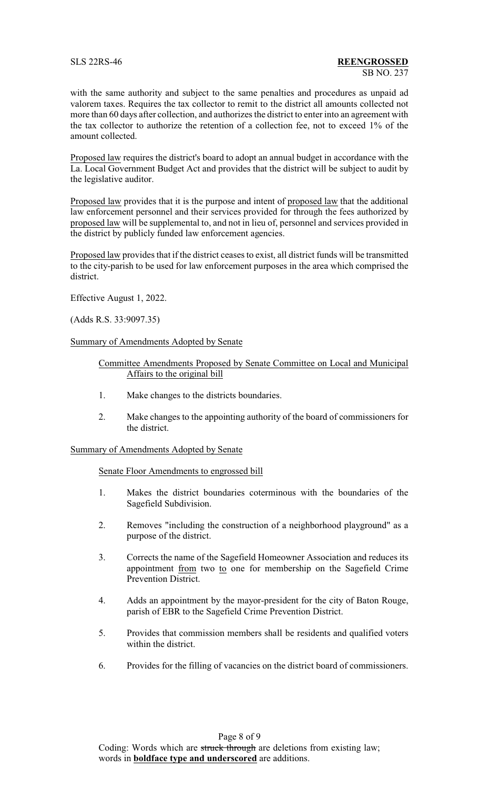with the same authority and subject to the same penalties and procedures as unpaid ad valorem taxes. Requires the tax collector to remit to the district all amounts collected not more than 60 days after collection, and authorizes the district to enter into an agreement with the tax collector to authorize the retention of a collection fee, not to exceed 1% of the amount collected.

Proposed law requires the district's board to adopt an annual budget in accordance with the La. Local Government Budget Act and provides that the district will be subject to audit by the legislative auditor.

Proposed law provides that it is the purpose and intent of proposed law that the additional law enforcement personnel and their services provided for through the fees authorized by proposed law will be supplemental to, and not in lieu of, personnel and services provided in the district by publicly funded law enforcement agencies.

Proposed law provides that if the district ceases to exist, all district funds will be transmitted to the city-parish to be used for law enforcement purposes in the area which comprised the district.

Effective August 1, 2022.

(Adds R.S. 33:9097.35)

Summary of Amendments Adopted by Senate

Committee Amendments Proposed by Senate Committee on Local and Municipal Affairs to the original bill

- 1. Make changes to the districts boundaries.
- 2. Make changes to the appointing authority of the board of commissioners for the district.

Summary of Amendments Adopted by Senate

Senate Floor Amendments to engrossed bill

- 1. Makes the district boundaries coterminous with the boundaries of the Sagefield Subdivision.
- 2. Removes "including the construction of a neighborhood playground" as a purpose of the district.
- 3. Corrects the name of the Sagefield Homeowner Association and reduces its appointment from two to one for membership on the Sagefield Crime Prevention District.
- 4. Adds an appointment by the mayor-president for the city of Baton Rouge, parish of EBR to the Sagefield Crime Prevention District.
- 5. Provides that commission members shall be residents and qualified voters within the district.
- 6. Provides for the filling of vacancies on the district board of commissioners.